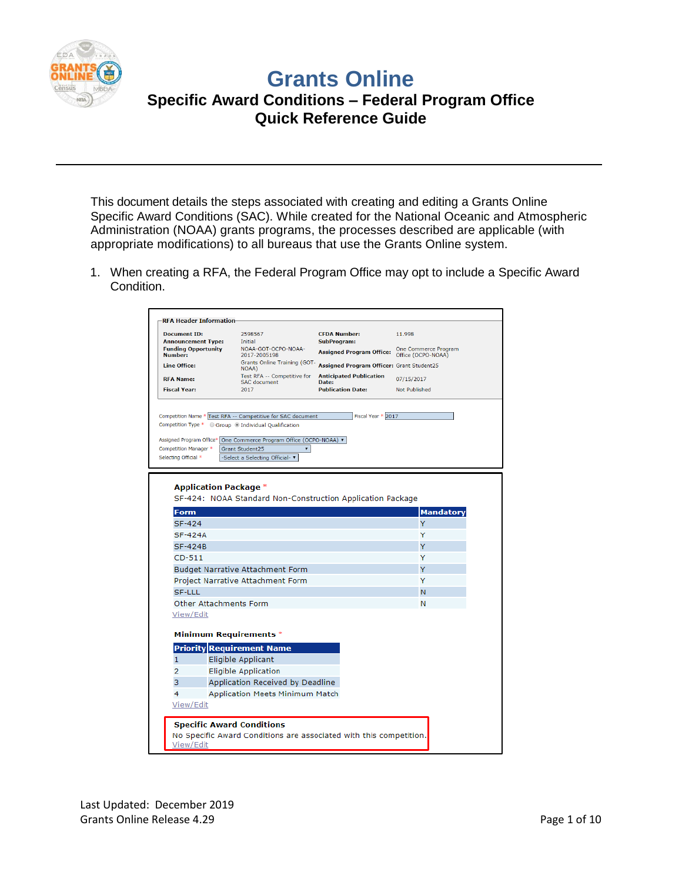

### **Specific Award Conditions – Federal Program Office Quick Reference Guide**

This document details the steps associated with creating and editing a Grants Online Specific Award Conditions (SAC). While created for the National Oceanic and Atmospheric Administration (NOAA) grants programs, the processes described are applicable (with appropriate modifications) to all bureaus that use the Grants Online system.

1. When creating a RFA, the Federal Program Office may opt to include a Specific Award Condition.

| <b>RFA Header Information</b>                         |                                                                    |                                           |                                            |
|-------------------------------------------------------|--------------------------------------------------------------------|-------------------------------------------|--------------------------------------------|
| <b>Document ID:</b>                                   | 2598567                                                            | <b>CFDA Number:</b>                       | 11.998                                     |
| <b>Announcement Type:</b>                             | Initial                                                            | <b>SubProgram:</b>                        |                                            |
| <b>Funding Opportunity</b><br>Number:                 | NOAA-GOT-OCPO-NOAA-<br>2017-2005198                                | <b>Assigned Program Office:</b>           | One Commerce Program<br>Office (OCPO-NOAA) |
| <b>Line Office:</b>                                   | Grants Online Training (GOT-<br>NOAA)                              | Assigned Program Officer: Grant Student25 |                                            |
| <b>RFA Name:</b>                                      | Test RFA -- Competitive for<br><b>SAC</b> document                 | <b>Anticipated Publication</b><br>Date:   | 07/15/2017                                 |
| <b>Fiscal Year:</b>                                   | 2017                                                               | <b>Publication Date:</b>                  | <b>Not Published</b>                       |
|                                                       |                                                                    |                                           |                                            |
|                                                       | Competition Name * Test RFA -- Competitive for SAC document        | Fiscal Year * 2017                        |                                            |
| Competition Type * ⊙ Group ⊙ Individual Qualification |                                                                    |                                           |                                            |
|                                                       | Assigned Program Office* One Commerce Program Office (OCPO-NOAA) ▼ |                                           |                                            |
| Competition Manager *                                 | <b>Grant Student25</b><br>۳                                        |                                           |                                            |
| Selecting Official *                                  | -Select a Selecting Official- ▼                                    |                                           |                                            |
|                                                       |                                                                    |                                           |                                            |
| <b>Application Package *</b>                          |                                                                    |                                           |                                            |
|                                                       | SF-424: NOAA Standard Non-Construction Application Package         |                                           |                                            |
|                                                       |                                                                    |                                           |                                            |
| <b>Form</b>                                           |                                                                    |                                           | <b>Mandatory</b>                           |
| <b>SF-424</b>                                         |                                                                    |                                           | Y                                          |
| <b>SF-424A</b>                                        |                                                                    |                                           | Y                                          |
| <b>SF-424B</b>                                        |                                                                    |                                           | Y                                          |
| $CD-511$                                              |                                                                    |                                           | Y                                          |
|                                                       | <b>Budget Narrative Attachment Form</b>                            |                                           | Y                                          |
|                                                       | Project Narrative Attachment Form                                  |                                           | Y                                          |
| SF-LLL                                                |                                                                    |                                           | N                                          |
| <b>Other Attachments Form</b>                         |                                                                    |                                           | Ν                                          |
| View/Edit                                             |                                                                    |                                           |                                            |
|                                                       |                                                                    |                                           |                                            |
| <b>Minimum Requirements *</b>                         |                                                                    |                                           |                                            |
| <b>Priority Requirement Name</b>                      |                                                                    |                                           |                                            |
| $\mathbf{1}$                                          | Eligible Applicant                                                 |                                           |                                            |
| $\overline{2}$                                        | <b>Eligible Application</b>                                        |                                           |                                            |
| 3                                                     | Application Received by Deadline                                   |                                           |                                            |
| 4                                                     | Application Meets Minimum Match                                    |                                           |                                            |
| View/Edit                                             |                                                                    |                                           |                                            |
| <b>Specific Award Conditions</b>                      |                                                                    |                                           |                                            |
|                                                       | No Specific Award Conditions are associated with this competition. |                                           |                                            |
| View/Edit                                             |                                                                    |                                           |                                            |
|                                                       |                                                                    |                                           |                                            |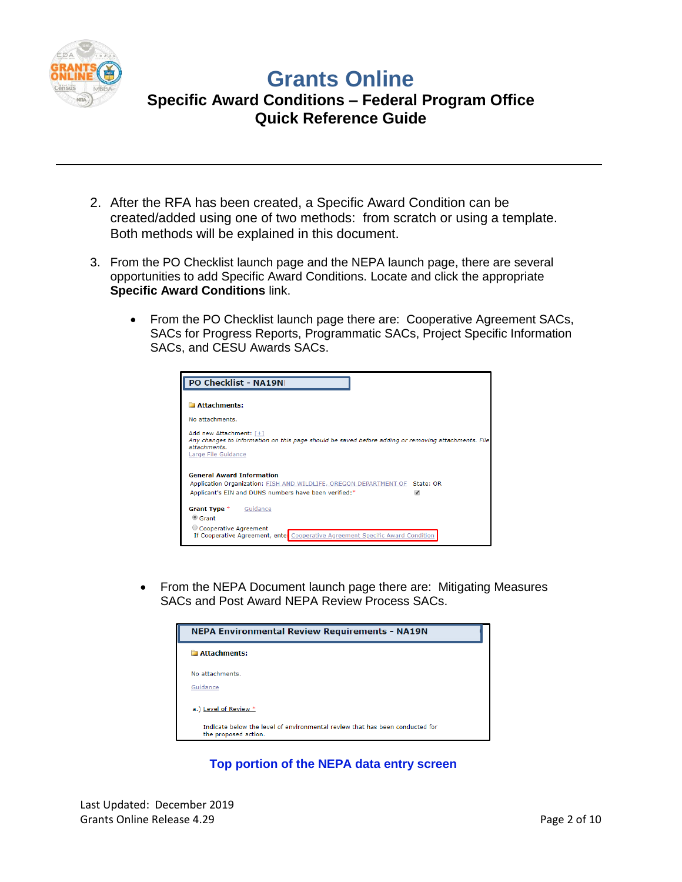

### **Specific Award Conditions – Federal Program Office Quick Reference Guide**

- 2. After the RFA has been created, a Specific Award Condition can be created/added using one of two methods: from scratch or using a template. Both methods will be explained in this document.
- 3. From the PO Checklist launch page and the NEPA launch page, there are several opportunities to add Specific Award Conditions. Locate and click the appropriate **Specific Award Conditions** link.
	- From the PO Checklist launch page there are: Cooperative Agreement SACs, SACs for Progress Reports, Programmatic SACs, Project Specific Information SACs, and CESU Awards SACs.

| <b>PO Checklist - NA19NI</b>                                                                                                                                             |
|--------------------------------------------------------------------------------------------------------------------------------------------------------------------------|
| Attachments:                                                                                                                                                             |
| No attachments.                                                                                                                                                          |
| Add new Attachment: [+]<br>Any changes to information on this page should be saved before adding or removing attachments. File<br>attachments.<br>Large File Guidance    |
| <b>General Award Information</b><br>Application Organization: FISH AND WILDLIFE, OREGON DEPARTMENT OF State: OR<br>Applicant's EIN and DUNS numbers have been verified:* |
| <b>Grant Type *</b><br>Guidance<br>$\bullet$ Grant                                                                                                                       |
| <b>Cooperative Agreement</b><br>If Cooperative Agreement, enter Cooperative Agreement Specific Award Condition                                                           |

• From the NEPA Document launch page there are: Mitigating Measures SACs and Post Award NEPA Review Process SACs.



#### **Top portion of the NEPA data entry screen**

Last Updated: December 2019 Grants Online Release 4.29 **Page 2 of 10** Page 2 of 10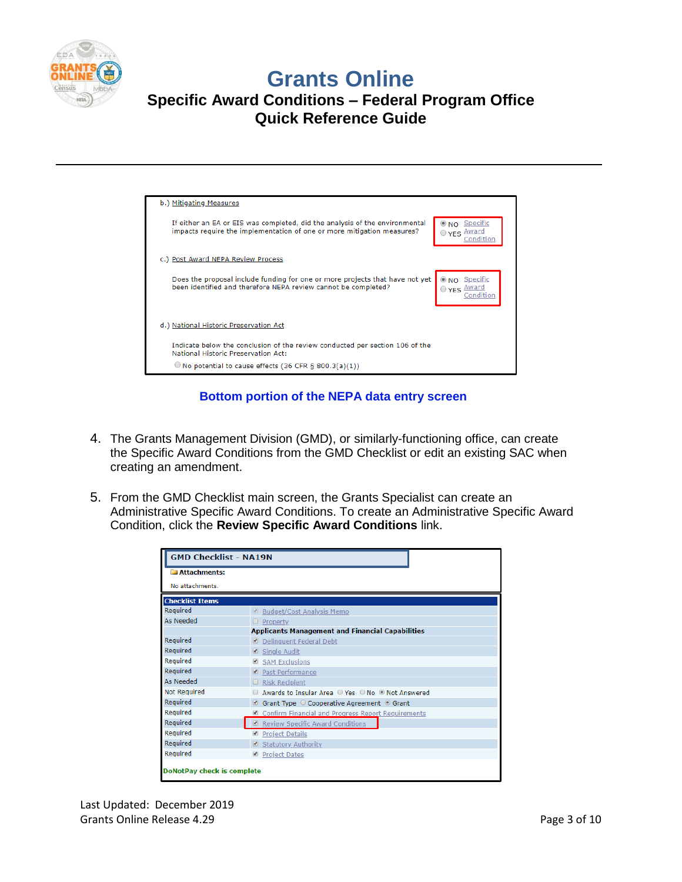

### **Specific Award Conditions – Federal Program Office Quick Reference Guide**

| b.) Mitigating Measures                                                                                                                               |                                         |
|-------------------------------------------------------------------------------------------------------------------------------------------------------|-----------------------------------------|
| If either an EA or EIS was completed, did the analysis of the environmental<br>impacts require the implementation of one or more mitigation measures? | ONO Specific<br>O YES Award<br>Conditio |
| c.) Post Award NEPA Review Process                                                                                                                    |                                         |
| Does the proposal include funding for one or more projects that have not yet<br>been identified and therefore NEPA review cannot be completed?        | ONO Specific                            |
| d.) National Historic Preservation Act                                                                                                                |                                         |
| Indicate below the conclusion of the review conducted per section 106 of the<br><b>National Historic Preservation Act:</b>                            |                                         |
| $\bullet$ No potential to cause effects (36 CFR § 800.3(a)(1))                                                                                        |                                         |

#### **Bottom portion of the NEPA data entry screen**

- 4. The Grants Management Division (GMD), or similarly-functioning office, can create the Specific Award Conditions from the GMD Checklist or edit an existing SAC when creating an amendment.
- 5. From the GMD Checklist main screen, the Grants Specialist can create an Administrative Specific Award Conditions. To create an Administrative Specific Award Condition, click the **Review Specific Award Conditions** link.

| <b>GMD Checklist - NA19N</b> |                                                         |
|------------------------------|---------------------------------------------------------|
| Attachments:                 |                                                         |
| No attachments.              |                                                         |
| <b>Checklist Items</b>       |                                                         |
| Required                     | <b>Budget/Cost Analysis Memo</b>                        |
| As Needed                    | $\Box$ Property                                         |
|                              | <b>Applicants Management and Financial Capabilities</b> |
| Required                     | Delinquent Federal Debt                                 |
| Required                     | Single Audit                                            |
| Required                     | SAM Exclusions                                          |
| Required                     | ■ Past Performance                                      |
| As Needed                    | $\Box$ Risk Recipient                                   |
| <b>Not Required</b>          | Awards to Insular Area O Yes O No. O Not Answered       |
| Required                     | Grant Type O Cooperative Agreement O Grant              |
| Required                     | Confirm Financial and Progress Report Requirements      |
| Required                     | Review Specific Award Conditions                        |
| Required                     | Project Details                                         |
| Required                     | Statutory Authority                                     |
| Required                     | Project Dates                                           |
| DoNotPay check is complete   |                                                         |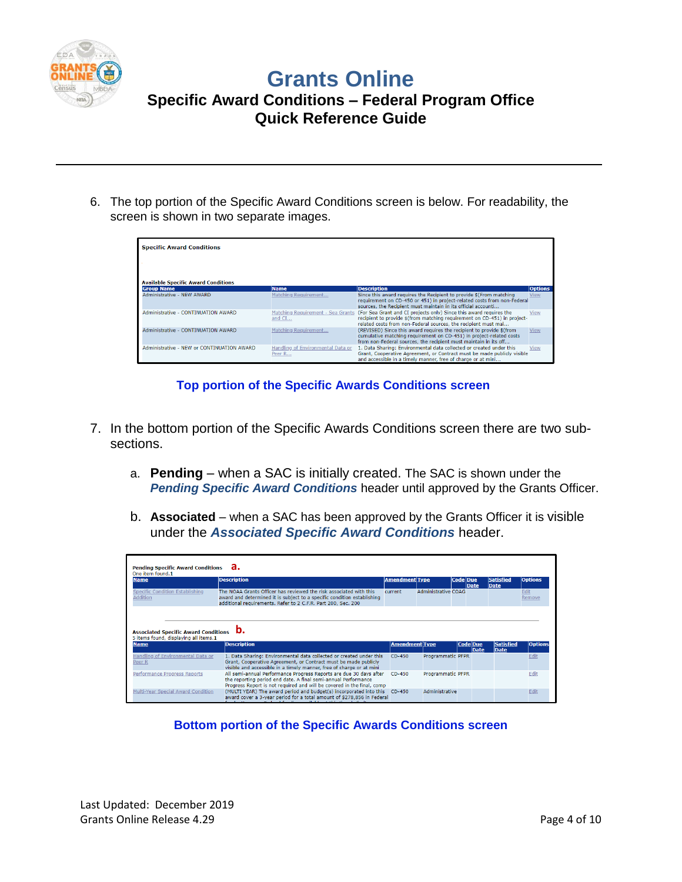

### **Specific Award Conditions – Federal Program Office Quick Reference Guide**

6. The top portion of the Specific Award Conditions screen is below. For readability, the screen is shown in two separate images.

| <b>Specific Award Conditions</b>                                |                                               |                                                                                                                                                                                                                  |                |
|-----------------------------------------------------------------|-----------------------------------------------|------------------------------------------------------------------------------------------------------------------------------------------------------------------------------------------------------------------|----------------|
| <b>Available Specific Award Conditions</b><br><b>Group Name</b> | <b>Name</b>                                   | <b>Description</b>                                                                                                                                                                                               | <b>Options</b> |
| Administrative - NEW AWARD                                      | Matching Requirement                          | Since this award requires the Recipient to provide \$(From matching<br>requirement on CD-450 or 451) in project-related costs from non-Federal<br>sources, the Recipient must maintain in its official accounti  | <b>View</b>    |
| Administrative - CONTINUATION AWARD                             | Matching Requirement - Sea Grants<br>and $CI$ | (For Sea Grant and CI projects only) Since this award requires the<br>recipient to provide \$(from matching requirement on CD-451) in project-<br>related costs from non-Federal sources, the recipient must mai | View           |
| Administrative - CONTINUATION AWARD                             | Matching Requirement                          | (REVISED) Since this award requires the recipient to provide \$(from<br>cumulative matching requirement on CD-451) in project-related costs<br>from non-Federal sources, the recipient must maintain in its off  | <b>View</b>    |
| Administrative - NEW or CONTINUATION AWARD                      | Handling of Environmental Data or<br>Peer R   | 1. Data Sharing: Environmental data collected or created under this<br>Grant, Cooperative Agreement, or Contract must be made publicly visible<br>and accessible in a timely manner, free of charge or at mini   | View           |

**Top portion of the Specific Awards Conditions screen** 

- 7. In the bottom portion of the Specific Awards Conditions screen there are two subsections.
	- a. **Pending** when a SAC is initially created. The SAC is shown under the *Pending Specific Award Conditions* header until approved by the Grants Officer.
	- b. **Associated** when a SAC has been approved by the Grants Officer it is visible under the *Associated Specific Award Conditions* header.

| <b>Name</b>                                          | <b>Description</b>                                                                                                                                                                                              | <b>Amendment Type</b> |                     | Code Due | <b>Date</b>                    | <b>Satisfied</b><br><b>Date</b> | <b>Options</b> |
|------------------------------------------------------|-----------------------------------------------------------------------------------------------------------------------------------------------------------------------------------------------------------------|-----------------------|---------------------|----------|--------------------------------|---------------------------------|----------------|
| Specific Condition Establishing<br><b>Addition</b>   | The NOAA Grants Officer has reviewed the risk associated with this<br>award and determined it is subject to a specific condition establishing<br>additional requirements. Refer to 2 C.F.R. Part 200, Sec. 200  | current               | Administrative COAG |          |                                |                                 | Edit<br>Remove |
|                                                      |                                                                                                                                                                                                                 |                       |                     |          |                                |                                 |                |
|                                                      |                                                                                                                                                                                                                 |                       |                     |          |                                |                                 |                |
| <b>Associated Specific Award Conditions</b>          | D.                                                                                                                                                                                                              |                       |                     |          |                                |                                 |                |
| 5 items found, displaying all items.1<br><b>Name</b> | <b>Description</b>                                                                                                                                                                                              | <b>Amendment Type</b> |                     |          | <b>Code</b> Due<br><b>Date</b> | Satisfied<br><b>Date</b>        | <b>Options</b> |
| Handling of Environmental Data or<br>Peer R          | 1. Data Sharing: Environmental data collected or created under this<br>Grant, Cooperative Agreement, or Contract must be made publicly<br>visible and accessible in a timely manner, free of charge or at mini- | CD-450                | Programmatic PFPR   |          |                                |                                 | Edit           |
| Performance Progress Reports                         | All semi-annual Performance Progress Reports are due 30 days after<br>the reporting period end date. A final semi-annual Performance<br>Progress Report is not required and will be covered in the final, comp  | $CD-450$              | Programmatic PFPR   |          |                                |                                 | Edit           |

#### **Bottom portion of the Specific Awards Conditions screen**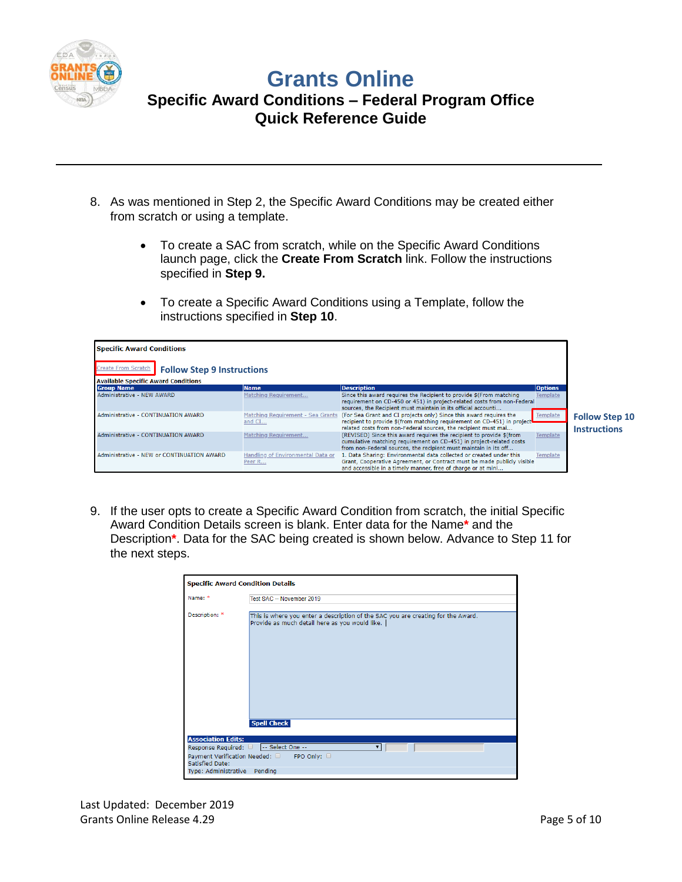

#### **Specific Award Conditions – Federal Program Office Quick Reference Guide**

- 8. As was mentioned in Step 2, the Specific Award Conditions may be created either from scratch or using a template.
	- To create a SAC from scratch, while on the Specific Award Conditions launch page, click the **Create From Scratch** link. Follow the instructions specified in **Step 9.**
	- To create a Specific Award Conditions using a Template, follow the instructions specified in **Step 10**.

| <b>Specific Award Conditions</b>                                                                       |                                             |                                                                                                                                                                                                                  |                 |                                              |
|--------------------------------------------------------------------------------------------------------|---------------------------------------------|------------------------------------------------------------------------------------------------------------------------------------------------------------------------------------------------------------------|-----------------|----------------------------------------------|
| Create From Scratch<br><b>Follow Step 9 Instructions</b><br><b>Available Specific Award Conditions</b> |                                             |                                                                                                                                                                                                                  |                 |                                              |
| <b>Group Name</b>                                                                                      | <b>Name</b>                                 | <b>Description</b>                                                                                                                                                                                               | <b>Options</b>  |                                              |
| Administrative - NEW AWARD                                                                             | Matching Requirement                        | Since this award requires the Recipient to provide \$(From matching<br>requirement on CD-450 or 451) in project-related costs from non-Federal<br>sources, the Recipient must maintain in its official accounti  | <b>Template</b> |                                              |
| Administrative - CONTINUATION AWARD                                                                    | Matching Requirement - Sea Grants<br>and CI | (For Sea Grant and CI projects only) Since this award requires the<br>recipient to provide \$(from matching requirement on CD-451) in project-<br>related costs from non-Federal sources, the recipient must mai | <b>Template</b> | <b>Follow Step 10</b><br><b>Instructions</b> |
| Administrative - CONTINUATION AWARD                                                                    | Matching Requirement                        | (REVISED) Since this award requires the recipient to provide \$(from<br>cumulative matching requirement on CD-451) in project-related costs<br>from non-Federal sources, the recipient must maintain in its off  | <b>Template</b> |                                              |
| Administrative - NEW or CONTINUATION AWARD                                                             | Handling of Environmental Data or<br>Peer R | 1. Data Sharing: Environmental data collected or created under this<br>Grant, Cooperative Agreement, or Contract must be made publicly visible<br>and accessible in a timely manner, free of charge or at mini   | <b>Template</b> |                                              |

9. If the user opts to create a Specific Award Condition from scratch, the initial Specific Award Condition Details screen is blank. Enter data for the Name**\*** and the Description**\***. Data for the SAC being created is shown below. Advance to Step 11 for the next steps.

| <b>Specific Award Condition Details</b>                                             |                                                                                                                                    |
|-------------------------------------------------------------------------------------|------------------------------------------------------------------------------------------------------------------------------------|
| Name: *                                                                             | Test SAC -- November 2019                                                                                                          |
| Description: *                                                                      | This is where you enter a description of the SAC you are creating for the Award.<br>Provide as much detail here as you would like. |
|                                                                                     | <b>Spell Check</b>                                                                                                                 |
| <b>Association Edits:</b><br><b>Satisfied Date:</b><br>Type: Administrative Pending | Response Required: 0 -- Select One --<br>Payment Verification Needed: □ FPO Only: □                                                |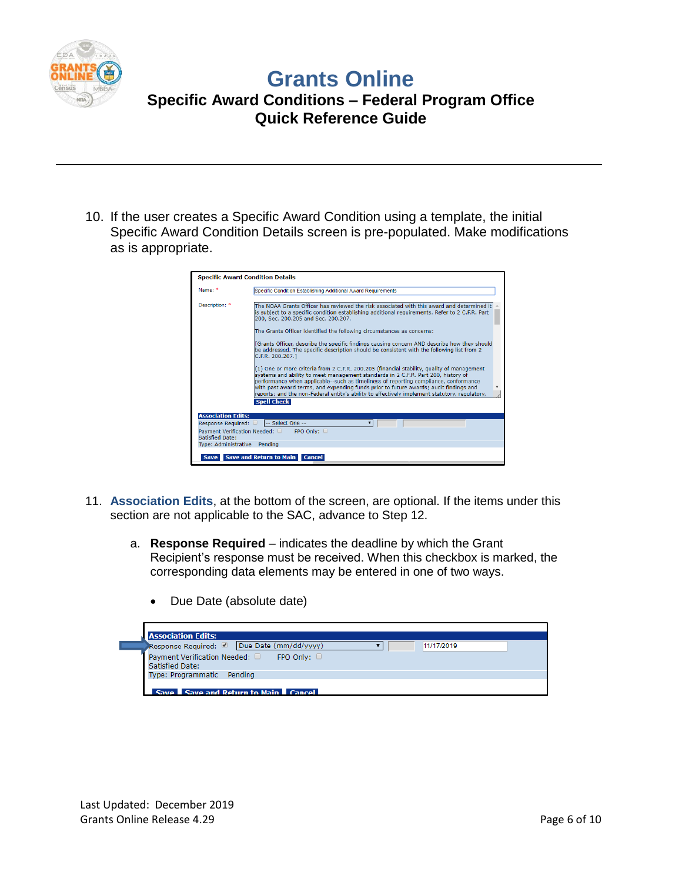

### **Specific Award Conditions – Federal Program Office Quick Reference Guide**

10. If the user creates a Specific Award Condition using a template, the initial Specific Award Condition Details screen is pre-populated. Make modifications as is appropriate.

| <b>Specific Award Condition Details</b> |                                                                                                                                                                                                                                                                                                                                                                                                                                                                   |
|-----------------------------------------|-------------------------------------------------------------------------------------------------------------------------------------------------------------------------------------------------------------------------------------------------------------------------------------------------------------------------------------------------------------------------------------------------------------------------------------------------------------------|
| Name: *                                 | Specific Condition Establishing Additional Award Requirements                                                                                                                                                                                                                                                                                                                                                                                                     |
| Description: *                          | The NOAA Grants Officer has reviewed the risk associated with this award and determined it<br>lis subiect to a specific condition establishing additional requirements. Refer to 2 C.F.R. Part<br>200, Sec. 200, 205 and Sec. 200, 207.                                                                                                                                                                                                                           |
|                                         | The Grants Officer identified the following circumstances as concerns:                                                                                                                                                                                                                                                                                                                                                                                            |
|                                         | [Grants Officer, describe the specific findings causing concern AND describe how they should<br>be addressed. The specific description should be consistent with the following list from 2<br>C.F.R. 200.207.                                                                                                                                                                                                                                                     |
|                                         | (1) One or more criteria from 2 C.F.R. 200.205 (financial stability, quality of management<br>systems and ability to meet management standards in 2 C.F.R. Part 200, history of<br>performance when applicable--such as timeliness of reporting compliance, conformance<br>with past award terms, and expending funds prior to future awards; audit findings and<br>reports; and the non-Federal entity's ability to effectively implement statutory, regulatory, |
|                                         | <b>Spell Check</b>                                                                                                                                                                                                                                                                                                                                                                                                                                                |
| <b>Association Edits:</b>               |                                                                                                                                                                                                                                                                                                                                                                                                                                                                   |
| Response Required:                      | -- Select One --                                                                                                                                                                                                                                                                                                                                                                                                                                                  |
| <b>Satisfied Date:</b>                  | Payment Verification Needed: □ FPO Only: □                                                                                                                                                                                                                                                                                                                                                                                                                        |
| Type: Administrative Pending            |                                                                                                                                                                                                                                                                                                                                                                                                                                                                   |
|                                         | Save Save and Return to Main<br><b>Cancel</b>                                                                                                                                                                                                                                                                                                                                                                                                                     |

- 11. **Association Edits**, at the bottom of the screen, are optional. If the items under this section are not applicable to the SAC, advance to Step 12.
	- a. **Response Required** indicates the deadline by which the Grant Recipient's response must be received. When this checkbox is marked, the corresponding data elements may be entered in one of two ways.
		- Due Date (absolute date)

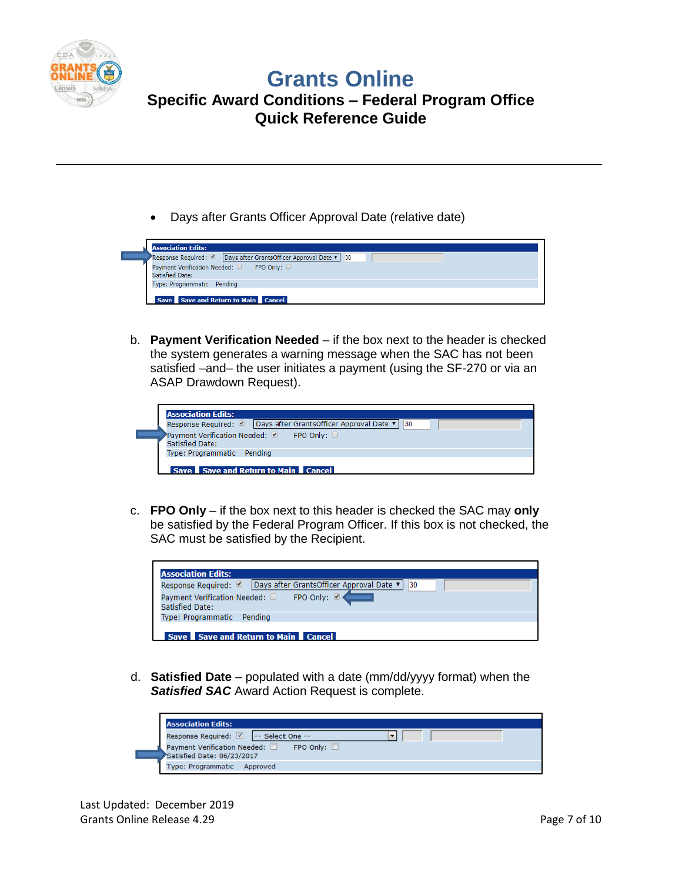

### **Specific Award Conditions – Federal Program Office Quick Reference Guide**

Days after Grants Officer Approval Date (relative date)



b. **Payment Verification Needed** – if the box next to the header is checked the system generates a warning message when the SAC has not been satisfied –and– the user initiates a payment (using the SF-270 or via an ASAP Drawdown Request).



c. **FPO Only** – if the box next to this header is checked the SAC may **only**  be satisfied by the Federal Program Officer. If this box is not checked, the SAC must be satisfied by the Recipient.



d. **Satisfied Date** – populated with a date (mm/dd/yyyy format) when the **Satisfied SAC** Award Action Request is complete.

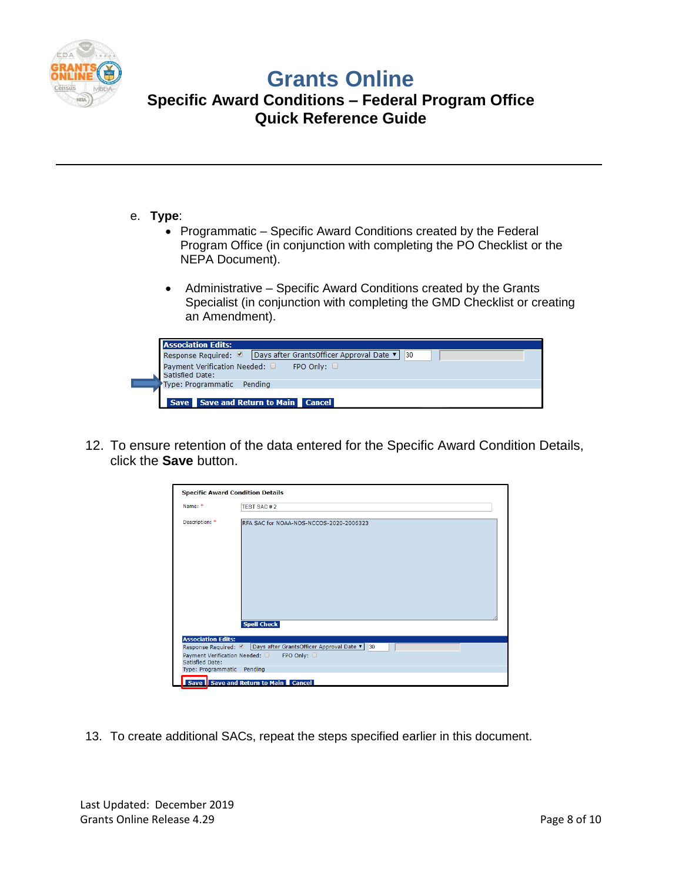![](_page_7_Picture_0.jpeg)

### **Specific Award Conditions – Federal Program Office Quick Reference Guide**

#### e. **Type**:

- Programmatic Specific Award Conditions created by the Federal Program Office (in conjunction with completing the PO Checklist or the NEPA Document).
- Administrative Specific Award Conditions created by the Grants Specialist (in conjunction with completing the GMD Checklist or creating an Amendment).

![](_page_7_Picture_6.jpeg)

12. To ensure retention of the data entered for the Specific Award Condition Details, click the **Save** button.

|                            | <b>Specific Award Condition Details</b>                                 |
|----------------------------|-------------------------------------------------------------------------|
| Name: *                    | TEST SAC#2                                                              |
| Description: *             | REA SAC for NOAA-NOS-NCCOS-2020-2006323                                 |
|                            |                                                                         |
|                            |                                                                         |
|                            |                                                                         |
|                            | <b>Spell Check</b>                                                      |
| <b>Association Edits:</b>  | Response Required: <u>■</u> Days after GrantsOfficer Approval Date ▼ 30 |
| Satisfied Date:            | Payment Verification Needed: □ FPO Only: □                              |
| Type: Programmatic Pending |                                                                         |
|                            | Save Save and Return to Main Cancel                                     |

13. To create additional SACs, repeat the steps specified earlier in this document.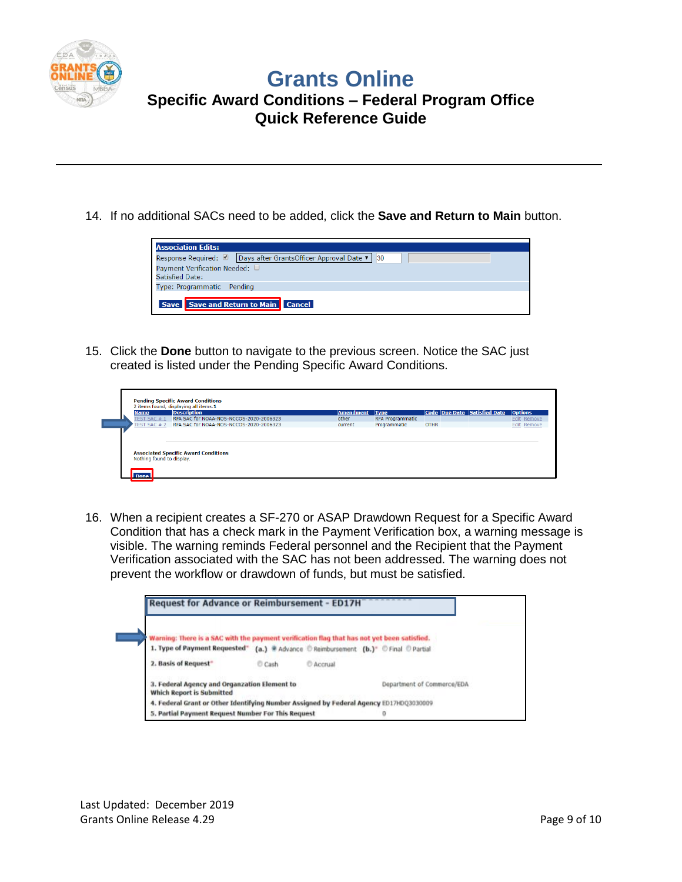![](_page_8_Picture_0.jpeg)

### **Specific Award Conditions – Federal Program Office Quick Reference Guide**

14. If no additional SACs need to be added, click the **Save and Return to Main** button.

![](_page_8_Picture_4.jpeg)

15. Click the **Done** button to navigate to the previous screen. Notice the SAC just created is listed under the Pending Specific Award Conditions.

| <b>Name</b>  | <b>Description</b>                          | <b>Amendment</b> | <b>Type</b>             |             | Code Due Date Satisfied Date | <b>Options</b>     |
|--------------|---------------------------------------------|------------------|-------------------------|-------------|------------------------------|--------------------|
| TEST SAC #1  | RFA SAC for NOAA-NOS-NCCOS-2020-2006323     | other            | <b>RFA Programmatic</b> |             |                              | Edit Remove        |
| TEST SAC # 2 | REA SAC for NOAA-NOS-NCCOS-2020-2006323     | current          | Programmatic            | <b>OTHR</b> |                              | <b>Edit Remove</b> |
|              | <b>Associated Specific Award Conditions</b> |                  |                         |             |                              |                    |

16. When a recipient creates a SF-270 or ASAP Drawdown Request for a Specific Award Condition that has a check mark in the Payment Verification box, a warning message is visible. The warning reminds Federal personnel and the Recipient that the Payment Verification associated with the SAC has not been addressed. The warning does not prevent the workflow or drawdown of funds, but must be satisfied.

| <b>Request for Advance or Reimbursement - ED17H</b>                                         |      |                                                        |                            |
|---------------------------------------------------------------------------------------------|------|--------------------------------------------------------|----------------------------|
|                                                                                             |      |                                                        |                            |
| Warning: There is a SAC with the payment verification flag that has not yet been satisfied. |      |                                                        |                            |
| 1. Type of Payment Requested"                                                               |      | (a,) # Advance C Reimbursement (b,)" C Final C Partial |                            |
| 2. Basis of Request <sup>*</sup>                                                            | Cash | C Accrual                                              |                            |
| 3. Federal Agency and Organzation Element to<br><b>Which Report is Submitted</b>            |      |                                                        | Department of Commerce/EDA |
| 4. Federal Grant or Other Identifying Number Assigned by Federal Agency ED17H003030009      |      |                                                        |                            |
| 5. Partial Payment Request Number For This Request                                          |      |                                                        |                            |